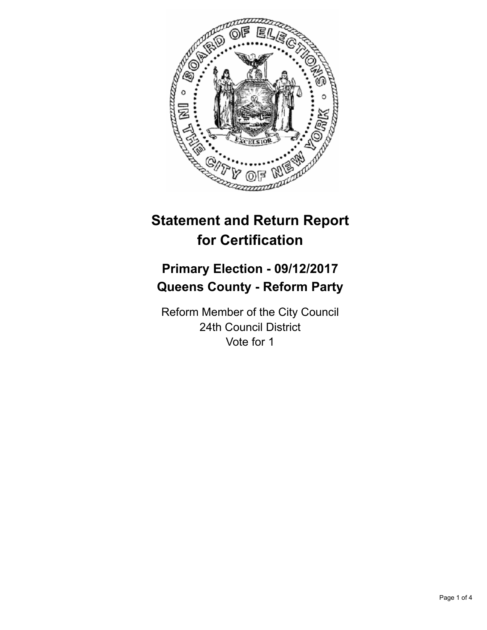

# **Statement and Return Report for Certification**

## **Primary Election - 09/12/2017 Queens County - Reform Party**

Reform Member of the City Council 24th Council District Vote for 1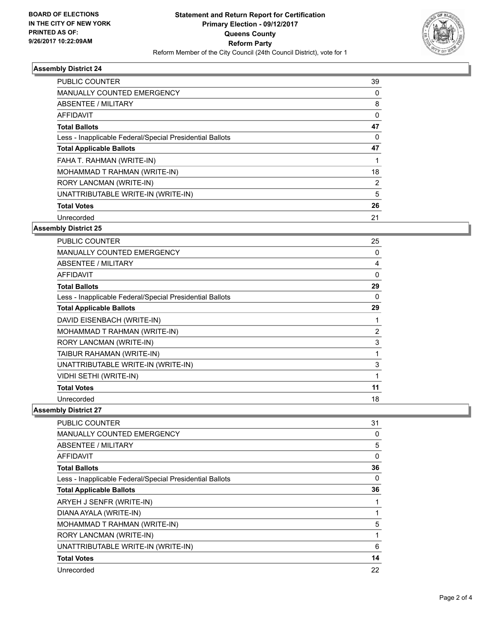

#### **Assembly District 24**

| <b>PUBLIC COUNTER</b>                                    | 39             |
|----------------------------------------------------------|----------------|
| <b>MANUALLY COUNTED EMERGENCY</b>                        | 0              |
| ABSENTEE / MILITARY                                      | 8              |
| AFFIDAVIT                                                | 0              |
| <b>Total Ballots</b>                                     | 47             |
| Less - Inapplicable Federal/Special Presidential Ballots | 0              |
| <b>Total Applicable Ballots</b>                          | 47             |
| FAHA T. RAHMAN (WRITE-IN)                                |                |
| MOHAMMAD T RAHMAN (WRITE-IN)                             | 18             |
| RORY LANCMAN (WRITE-IN)                                  | $\overline{2}$ |
| UNATTRIBUTABLE WRITE-IN (WRITE-IN)                       | 5              |
| <b>Total Votes</b>                                       | 26             |
| Unrecorded                                               | 21             |
|                                                          |                |

#### **Assembly District 25**

| <b>PUBLIC COUNTER</b>                                    | 25             |
|----------------------------------------------------------|----------------|
| <b>MANUALLY COUNTED EMERGENCY</b>                        | 0              |
| <b>ABSENTEE / MILITARY</b>                               | 4              |
| <b>AFFIDAVIT</b>                                         | 0              |
| <b>Total Ballots</b>                                     | 29             |
| Less - Inapplicable Federal/Special Presidential Ballots | 0              |
| <b>Total Applicable Ballots</b>                          | 29             |
| DAVID EISENBACH (WRITE-IN)                               |                |
| MOHAMMAD T RAHMAN (WRITE-IN)                             | $\overline{2}$ |
| RORY LANCMAN (WRITE-IN)                                  | 3              |
| TAIBUR RAHAMAN (WRITE-IN)                                | 1              |
| UNATTRIBUTABLE WRITE-IN (WRITE-IN)                       | 3              |
| VIDHI SETHI (WRITE-IN)                                   | 1              |
| <b>Total Votes</b>                                       | 11             |
| Unrecorded                                               | 18             |

**Assembly District 27**

| <b>PUBLIC COUNTER</b>                                    | 31 |
|----------------------------------------------------------|----|
| <b>MANUALLY COUNTED EMERGENCY</b>                        | 0  |
| ABSENTEE / MILITARY                                      | 5  |
| <b>AFFIDAVIT</b>                                         | 0  |
| <b>Total Ballots</b>                                     | 36 |
| Less - Inapplicable Federal/Special Presidential Ballots | 0  |
| <b>Total Applicable Ballots</b>                          | 36 |
| ARYEH J SENFR (WRITE-IN)                                 |    |
| DIANA AYALA (WRITE-IN)                                   |    |
| MOHAMMAD T RAHMAN (WRITE-IN)                             | 5  |
| RORY LANCMAN (WRITE-IN)                                  |    |
| UNATTRIBUTABLE WRITE-IN (WRITE-IN)                       | 6  |
| <b>Total Votes</b>                                       | 14 |
| Unrecorded                                               | 22 |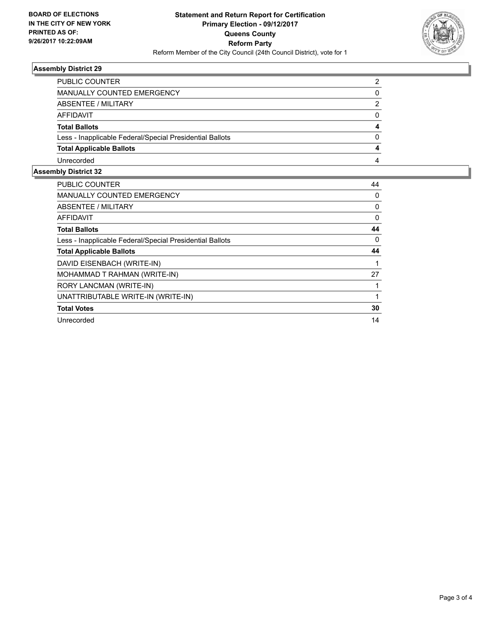

#### **Assembly District 29**

| PUBLIC COUNTER                                           |   |
|----------------------------------------------------------|---|
| <b>MANUALLY COUNTED EMERGENCY</b>                        | 0 |
| ABSENTEE / MILITARY                                      | 2 |
| AFFIDAVIT                                                | 0 |
| <b>Total Ballots</b>                                     | 4 |
| Less - Inapplicable Federal/Special Presidential Ballots | 0 |
| <b>Total Applicable Ballots</b>                          | 4 |
| Unrecorded                                               | 4 |
|                                                          |   |

### **Assembly District 32**

| <b>PUBLIC COUNTER</b>                                    | 44 |
|----------------------------------------------------------|----|
| <b>MANUALLY COUNTED EMERGENCY</b>                        | 0  |
| ABSENTEE / MILITARY                                      | 0  |
| AFFIDAVIT                                                | 0  |
| <b>Total Ballots</b>                                     | 44 |
| Less - Inapplicable Federal/Special Presidential Ballots | 0  |
| <b>Total Applicable Ballots</b>                          | 44 |
| DAVID EISENBACH (WRITE-IN)                               |    |
| MOHAMMAD T RAHMAN (WRITE-IN)                             | 27 |
| RORY LANCMAN (WRITE-IN)                                  |    |
| UNATTRIBUTABLE WRITE-IN (WRITE-IN)                       |    |
| <b>Total Votes</b>                                       | 30 |
| Unrecorded                                               | 14 |